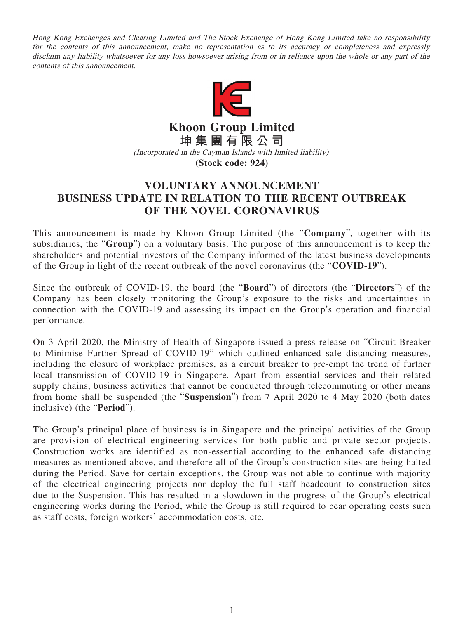Hong Kong Exchanges and Clearing Limited and The Stock Exchange of Hong Kong Limited take no responsibility for the contents of this announcement, make no representation as to its accuracy or completeness and expressly disclaim any liability whatsoever for any loss howsoever arising from or in reliance upon the whole or any part of the contents of this announcement.



**Khoon Group Limited 坤集團有限公司** (Incorporated in the Cayman Islands with limited liability)

**(Stock code: 924)**

## **VOLUNTARY ANNOUNCEMENT BUSINESS UPDATE IN RELATION TO THE RECENT OUTBREAK OF THE NOVEL CORONAVIRUS**

This announcement is made by Khoon Group Limited (the "**Company**", together with its subsidiaries, the "**Group**") on a voluntary basis. The purpose of this announcement is to keep the shareholders and potential investors of the Company informed of the latest business developments of the Group in light of the recent outbreak of the novel coronavirus (the "**COVID-19**").

Since the outbreak of COVID-19, the board (the "**Board**") of directors (the "**Directors**") of the Company has been closely monitoring the Group's exposure to the risks and uncertainties in connection with the COVID-19 and assessing its impact on the Group's operation and financial performance.

On 3 April 2020, the Ministry of Health of Singapore issued a press release on "Circuit Breaker to Minimise Further Spread of COVID-19" which outlined enhanced safe distancing measures, including the closure of workplace premises, as a circuit breaker to pre-empt the trend of further local transmission of COVID-19 in Singapore. Apart from essential services and their related supply chains, business activities that cannot be conducted through telecommuting or other means from home shall be suspended (the "**Suspension**") from 7 April 2020 to 4 May 2020 (both dates inclusive) (the "**Period**").

The Group's principal place of business is in Singapore and the principal activities of the Group are provision of electrical engineering services for both public and private sector projects. Construction works are identified as non-essential according to the enhanced safe distancing measures as mentioned above, and therefore all of the Group's construction sites are being halted during the Period. Save for certain exceptions, the Group was not able to continue with majority of the electrical engineering projects nor deploy the full staff headcount to construction sites due to the Suspension. This has resulted in a slowdown in the progress of the Group's electrical engineering works during the Period, while the Group is still required to bear operating costs such as staff costs, foreign workers' accommodation costs, etc.